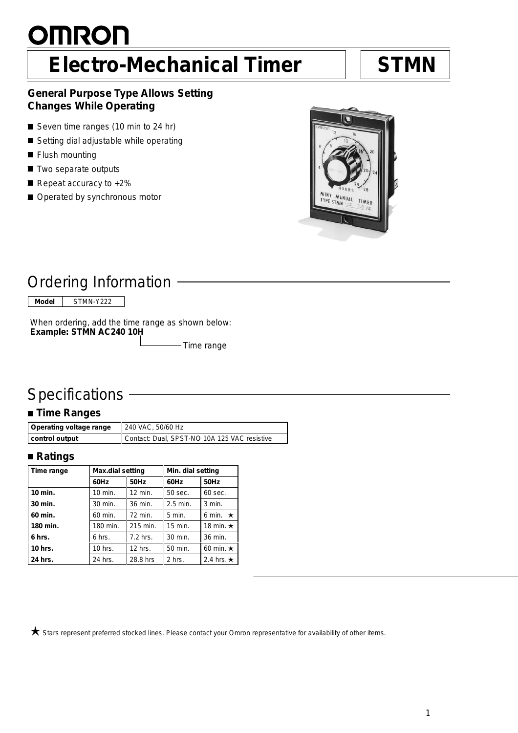# <u>OMRON</u> **Electro-Mechanical Timer STMN**

#### **General Purpose Type Allows Setting Changes While Operating**

- Seven time ranges (10 min to 24 hr)
- Setting dial adjustable while operating
- **Flush mounting**
- Two separate outputs
- Repeat accuracy to +2%
- Operated by synchronous motor



## Ordering Information

**Model** STMN-Y222

When ordering, add the time range as shown below: **Example: STMN AC240 10H**

- Time range

## **Specifications**

### **Time Ranges**

| Operating voltage range | 240 VAC, 50/60 Hz                            |  |
|-------------------------|----------------------------------------------|--|
| control output          | Contact: Dual, SPST-NO 10A 125 VAC resistive |  |

#### **Ratings**

| Time range | Max.dial setting |           | Min. dial setting |                  |
|------------|------------------|-----------|-------------------|------------------|
|            | 60Hz             | 50Hz      | 60Hz              | 50Hz             |
| 10 min.    | 10 min.          | 12 min.   | 50 sec.           | 60 sec.          |
| 30 min.    | 30 min.          | 36 min.   | $2.5$ min.        | $3$ min.         |
| 60 min.    | 60 min.          | 72 min.   | $5$ min.          | 6 min. $\star$   |
| 180 min.   | 180 min.         | 215 min.  | 15 min.           | 18 min. $\star$  |
| 6 hrs.     | 6 hrs.           | 7.2 hrs.  | 30 min.           | 36 min.          |
| $10$ hrs.  | 10 hrs.          | $12$ hrs. | 50 min.           | 60 min. $\star$  |
| 24 hrs.    | 24 hrs.          | 28.8 hrs  | 2 hrs.            | 2.4 hrs. $\star$ |

 $\bigstar$  Stars represent preferred stocked lines. Please contact your Omron representative for availability of other items.